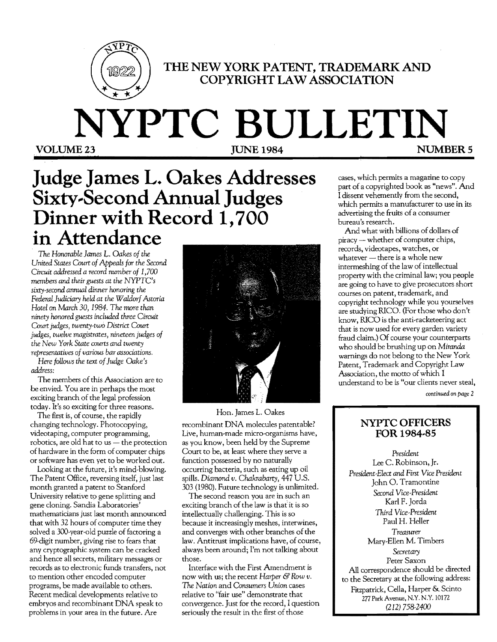

# THE NEW YORK **PATENT,** TRADEMARK AND **COPYRIGHT LAW ASSOCIATION**

# **NYPTC BULLETIN** VOLUME 23 **JUNE 1984 NUMBERS**

# **Judge James L. Oakes Addresses**   $Sixty-Second Annual Judges$ **Dinner with Record 1,700 in Attendance**

*The Honorable James* L. *Oakes of the United States Court of Appeals for the* Second *Circuit addressed a record number of 1,700 members and their guests at the NYPTC's sixty-second annual dinner honoring the Federal Judiciary held at the Waldorf Astoria Hotel* on *March* 30,1984. *The more than ninety honored guests included three Circuit Court judges, twenty-two District Court judges, twelve magistrates, nineteen judges of the New York State courts and twenty representatives of various bar associations.* 

*Here follows the text ofJudge Oake's address:* 

The members of this Association are to be envied. You are in perhaps the most exciting branch of the legal profession today. It's so exciting for three reasons.

The first is, of course, the rapidly changing technology. Photocopying, videotaping, computer programming,  $robotics,$  are old hat to us  $-$  the protection of hardware in the form of computer chips or software has even yet to be worked out.

Looking at the future, it's mind-blowing. The Patent Office, reversing itself, just last month granted a patent to Stanford University relative to gene splitting and gene cloning. Sandia Laboratories' mathematicians just last month announced that with 32 hours of computer time they solved a 300-year-old puzzle of factoring a 69-digit number, giving rise to fears that any cryptographic system can be cracked and hence all secrets, military messages or records as to electronic funds transfers, not to mention other encoded computer programs, be made available to others. Recent medical developments relative to embryos and recombinant DNA speak to problems in your area in the future. Are



Hon. James L. Oakes recombinant DNA molecules patentable? Live, human-made micro-organisms have, as you know, been held by the Supreme Court to be, at least where they serve a function possessed by no naturally occurring bacteria, such as eating up oil spills. *Diamond v. Chakrabarty,* 447 U.S. 303 (1980). Future technology is unlimited.

The second reason you are in such an exciting branch of the law is that it is so intellectually challenging. This is so because it increasingly meshes, interwines, and converges with other branches of the law. Antitrust implications have, of course, always been around; I'm not talking about those.

Interface with the First Amendment is now with us; the recent *Harper & Row v*. *The Nation* and *Consumers Union* cases relative to "fair use" demonstrate that convergence. Just for the record, I question seriously the result in the first of those

cases, which permits a magazine to copy part of a copyrighted book as "news". And I dissent vehemently from the second, which permits a manufacturer to use in its advertising the fruits of a consumer bureau's research.

And what with billions of dollars of  $\text{piracy}$  - whether of computer chips, records, videotapes, watches, or whatever  $-$  there is a whole new intermeshing of the law of intellectual property with the criminal law; you people are going to have to give prosecutors short courses on patent, trademark, and copyright technology while you yourselves are studying RICO. {For those who don't know, RICO is the anti-racketeering act that is now used for every garden variety fraud claim.} Of course your counterparts who should be brushing up on *Miranda*  warnings do not belong to the New York Patent, Trademark and Copyright Law Association, the motto of which I understand to be is "our clients never steal,

*continued* on *page* 2

## **NYPTC OFFICERS FOR** 1984~8S

*President*  Lee C. Robinson, Jr. *President-Elect and First Vice President*  John O. Tramontine *Second Vice-President*  Karl F. Jorda *Third Vice-President*  Paul H. Heller *Treasurer*  Mary-Ellen M. Timbers *Secretary*  Peter Saxon All correspondence should be directed to the Secretary at the following address: Fitzpatrick, Cella, Harper & Scinto 277 Park Avenue, N.Y. N.Y. 10172 (212) 758-2400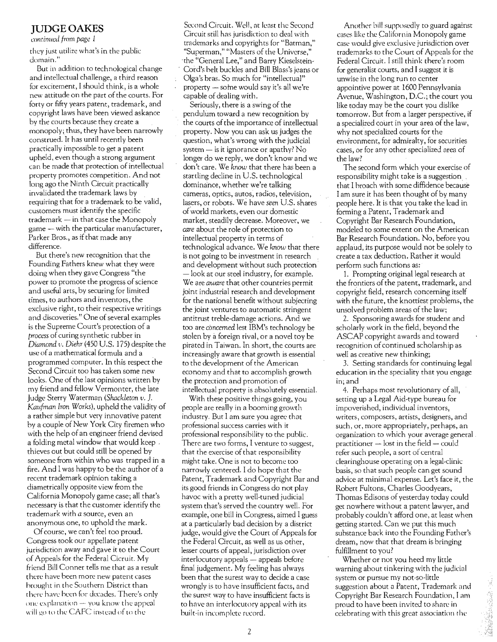### JUDGE OAKES

*C()71tinw:d from page I* 

they just utilize what's in the public domain."

But in addition to technological change and intellectual challenge, a third reason for excitement, I should think, is a whole new attitude on the part of the courts. For forty or fifty years patent, trademark, and copyright laws have been viewed askance by the courts because they create a monopoly; thus, they have been narrowly construed. It has until recently been practically imrossible to get a patent upheld, even though a strong argument can be made that protection of intellectual property promotes competition. And not long ago the Ninth Circuit practically invalidated the trademark laws by requiring that for a trademark to be valid, customers must identify the specific  $trademark - in that case the Monopoly$  $game$  — with the particular manufacturer, Parker Bros., as if that made any difference.

But there's new recognition that the Founding Fathers knew what they were doing when they gave Congress "the power to promote the progress of science and useful arts, by securing for limited times, to authors and inventors, the exclusive right, to their respective writings and discoveries." One of several examples is the Supreme Court's protection of a *process* of curing synthetic rubber in *Diamond* t'. *Diehr* (450 U.S. 175) despite the use of a mathematical formula and a programmed computer. In this respect the Second Circuit too has taken some new looks. One of the last opinions written by my friend and fellow Vermonter, the late Judge Sterry Waterman *(Shackleton v.* J. *Kaufman Iron Works),* upheld the validity of a rather simple but very innovative patent by a couple of New York City firemen who with the help of an engineer friend devised a folding metal window that would keep thieves out but could still be opened by someone from within who was trapped in a fire. And I was happy to be the author of a recent trademark opinion taking a diametrically opposite view from the California Monopoly game case; all that's necessary is that the customer identify the trademark with *a* source, even an anonymous one, to uphold the mark.

Of course, we can't feel too proud. Congress took our appellate patent iurisdiction away and gave it to the Court of Appeals for the Federal Cicruit. My friend Bill Conner tells me that as a result there have been more new patent cases hrought in the Southern District than there have been for decades. There's only one explanation  $-$  you know the appeal will go to the CAFC instead of to the

Second Circuit. Well, at least the Second Circuit still has jurisdiction to deal with trademarks and copyrights for "Batman," "Superman," "Masters of the Universe," ·the "General Lee," and Barry Kieselstein-Cord's helt buckles and Bill Blass's jeans or Olga's bras. So much for "intellectual" property  $-$  some would say it's all we're capable of dealing with.

Seriously, there is a swing of the pendulum toward a new recognition by the courts of the importance of intellectual property. Now you can ask us judges the question, what's wrong with the judicial system  $-$  is it ignorance or apathy? No longer do we reply, we don't know and we don't care. We *know* that there has been a startling decline in U.S. technological dominance, whether we're talking cameras, optics, autos; radios, television, lasers, or robots. We have *seen* U.S. shares of world markets, even our domestic market, steadily decrease. Moreover, we *care* about the role of protection to intellectual property in terms of technological advance. We *know* that there is not going to be investment in research and development without such protection· -look at our steel industry, for example. We are *aware* that other countries permit joint industrial research and development for the national benefit without subjecting the joint ventures to automatic stringent antitrust treble-damage actions. And we too are *concemed* lest IBM's technology be stolen by aforeign rival, or a novel toy be pirated in Taiwan. In short, the courts are increasingly aware that growth is essential to the development of the American economy and that to accomplish growth the protection and promotion of intellectual property is absolutely essential.

With these positive things going, you people are really in a booming growth industry. But I am sure you agree that professional success carries with it professional responsibility to the public. There are two forms, I venture to suggest, that the exercise of that responsibility might take. One is not to become too narrowly centered. I do hope that the Patent, Trademark and Copyright Bar and its good friends in Congress do not play havoc with a pretty well-tuned judicial system that's served the country well. For example, one bill in Congress, aimed I guess at a particularly bad decision by a district judge, would give the Court of Appeals for the Federal Circuit, as well as us other, lesser courts of appeal, jurisdiction over interlocutory appeals - appeals before final judgement. My feeling has always been that the surest way to decide a case wrongly is to have insufficient facts, and the surest way to have insufficient facts is to have an interlocutory appeal with its huilt-in incomplete record.

Another bill supposedly to guard against cases like the California Monopoly game case would give exclusive jurisdiction over trademarks to the Court of Appeals for the Federal Circuit. I still think there's room for generalist courts, and I suggest it is unwise in the long run to center appointive power at 1600 Pennsylvania Avenue, Washington, D.C.; the court you like today may be the court you dislike tomorrow. But from a larger perspective, if a specialized court in your area of the law, why not specialized courts for the environment, for admiralty, for securities cases, or for any other specialized area of the law?

The second form which your exercise of responsibility might rake is a suggestion that I hroach with some diffidence because I am sure it has been thought of by many people here. It is that you take the lead in forming a Patent, Trademark and Copyright Bar Research Foundation, modeled to some extent on the American Bar Research Foundation. No, before you applaud, its purpose would not be solely to create a tax deduction. Rather it would perform such functions as:

1. Prompting original legal research at the frontiers of the patent, trademark, and copyright field, research concerning itself with the future, the knottiest problems, the unsolved problem areas of the law;

2. Sponsoring awards for student and scholarly work in the field, beyond the ASCAP copyright awards and toward recognition of continued scholarship as well as creative new thinking;

3. Setting standards for continuing legal education in the speciality that you engage in; and

4. Perhaps most revolutionary of all, setting up a Legal Aid-type bureau for impoverished, individual inventors, writers, composers, artists, designers, and such, or, more appropriately, perhaps, an organization to which your average general.  $practitioner - lost in the field - could$ refer such people, a sort of central clearinghouse operating on a legal-clinic basis, so that such people can get sound advice at minimal expense. Let's face it, the Robert Fultons, Charles Goodyears, Thomas Edisons of yesterday today could get nowhere without a patent lawyer, and probably couldn't afford one, at least when getting started. Can we put this much substance back into the Founding Father's dream, now that that dream is bringing fulfillment to you?

Whether or not you heed my little warning about tinkering with the judicial system or pursue my not-so-little suggestion about a Patent, Trademark and Copyright Bar Research Foundation, I am proud to have been invited to share in celebrating with this great association the

**「其人等者は一本の意味」**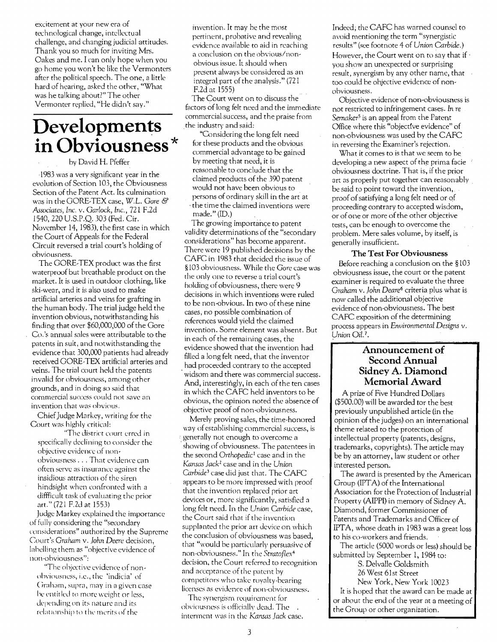excitement at your new era of technological change, intellectual challenge, and changing judicial attitudes. Thank you so much for inviting Mrs. Oakes and me. I can only hope when you go home you won't be like the Vermonters after the political speech. The one, a little hard of hearing, asked the other, "What was he talking about?" The other Vermonter replied, "He didn't say."

# **Developments in Obviousness\***

by David H. Pfeffer

1983 was a very significant year in the evolution of Section 103, the Obviousness Section of the Patent Act. Its culmination was in the GORE-TEX case, W.L. *Gore* & *Associates, Inc.* v. *Garlock, Inc.,* 721 F.2d 1540,220 U.S.P.Q. 303 (Fed. Cir. November 14, 1983), the first case in which the Court of Appeals for the Federal Circuit reversed a trial court's holding of obviousness.

The GORE-TEX product was the first waterproof but breathable product on the market. It is used in outdoor clothing, like ski-wear, and it is also used to make artificial arteries and veins for grafting in the human body. The trial judge held the invention obvious, notwithstanding his finding that over \$60,000,000 of the Gore Co.'s annual sales were attributable to the patents in suit, and notwithstanding the evidence that 300,000 patients had already received GORE-TEX artificial arteries and veins. The trial court held the patents invalid for obviousness, among other grounds, and in doing so said that commercial succcss could not savc an invention that was obvious.

Chief Judge Markey, writing for the Court was highly critical:

"The district court erred in specifically declining to consider the objective evidence of non obviousness . . . That evidence can often serve as insurance against the insidious attraction of the siren hindsight when confronted with a diffficult task of cvaluating the prior art." (721 F.ld at 1553)

Judge Markey explained the importance of fully considering the "secondary considcrations" authorized by the Suprcme Court's *Graham* v. *John Deere* decision, labelling them as "objective evidence of 11011-0 hviousness":

'The ohjcrtive evidence of non obviousness, i.e., the 'indicia' of Graham, supra, may in a given case he entitled to more weight or less, depending on its nature and its relationship to the merits of the

invention. It may be the most pertinent, probative and revealing evidence available to aid in reaching a conclusion on the obvious/nonobvious issue. It should when present always be considered as an integral part of the analysis." (721 F.ld at 1555)

The Court went on to discuss the factors of long felt need and the immediate commerciaLsuccess, and the praise from the industry and said:

. "Considering the long felt need for these products and the obvious commercial advantage to be gained by meeting that need, it is reasonable to conclude that the claimed products of the 390 patent would not have been obvious to persons of ordinary skill in the art at

. the time the claimed inventions were made." (ID.)

The growing importance to patent validity determinations of the "secondary considerations" has become apparent. There were 19 published decisions by the CAFC in 1983 that decided the issue of §103 obviousness. While the *Gore* case was the only one to reverse a trial court's holding of obviousness, there were 9 decisions in which inventions were ruled to be non-obvious. in two of these nine cases, no possible combination of references would yield the claimed invention. Some element was absent. But in each of the remaining cases, the evidence showed that the invention had filled a long felt need, that the inventor had proceeded contrary to the accepted . widsom and there was commercial success. And, interestingly, in each of the ten cases in which the CAFC held inventors to be obvious, the opinion noted the absence of objective proof of non-obviousness.

Merely proving saies, the time-honored way of establishing commercial success, is • generally not enough to overcome a . showing of obviousness. The patentees in the second *Orthopedic!* case and in the *Kansas Jack2* case and in the Union *Carbide3* case did just that. The CAFC appears to be more impressed with proof that the invention replaced prior art devices or, more significantly, satisfied a long felt need. In the Union *Carbide* case, the Court said that if the invention supplanted the prior art device on which the conclusion of obviousness was based, that "would be particularly persuasive of non-obviousness." In the *Stratof/ex4*  decision, the Court referred to recognition and acceptance of the patent by competitors who take royalty-bearing licenses as evidence of non-obviousness.

The synergism requirement for obviousness is officially dead. The interment was in the *Kansas Jack* case. Indeed; the CAFC has warned counsel to avoid mentioning the term "synergistic results" (see footnote 4 of *Union Carbide.)*  However, the Court went on to say that if  $\cdot$ you show an unexpected or surprising result, synergism by any other name, that too could be objective evidence of nonobviousness.

Objective evidence of non-obviousness is not restricted to infringement cases. In *re Semaker'* is an appeal from the Patent Office where this "objective evidence" of non-obviousness was used by the CAFC in reversing the Examiner's rejection.

What it comes to is that we seem to be developing.a new aspect of the prima facie obviousness doctrine. That is, if the prior art as properly put together can reasonably be said to point toward the invention, proof of satisfying a long felt need or of proceeding contrary to accepted wisdom, or of one or more of the other objective tests, can be enough to overcome the problem. Mere sales volume, by itself, is generally insufficient.

#### **The Test** For **Obviousness**

Before reaching a conclusion on the §103 obviousness issue, the court or the patent examiner is required to evaluate the three *Graham* v. *John Deare6* criteria plus what is now called the additional objective evidence of non-obviousness. The best CAFC exposition of the determining process appears in *Environmental Designs* v. *Union Oil.1.* 

### **Announcement of Second Annual Sidney A. Diamond Memorial Award**

A prize of Five Hundred Dollars (\$500.00) will be awarded tor the best previously unpublished article (in the opinion of the judges) on an international theme related to the protection of intellectual property (patents, designs, trademarks, copyrights). The article may be by an attorney, law student or other interested person.

The award is presented by the American Group (IPTA) of the International Association for the Protection of Industrial Property (AIPPI) in memory of Sidney A. Diamond, former Commissioner of Patents and Trademarks and Officer of IPTA, whose death in 1983 was a great loss to his co-workers and friends.

The article (5000 words or less) should be submitted by September 1, 1984 to:

S. Delvalle Goldsmith

26 West 61st Street

New York, New York 10023 It is hoped that the award can be made at or about the end of the year at a meeting of the Group or other organization.